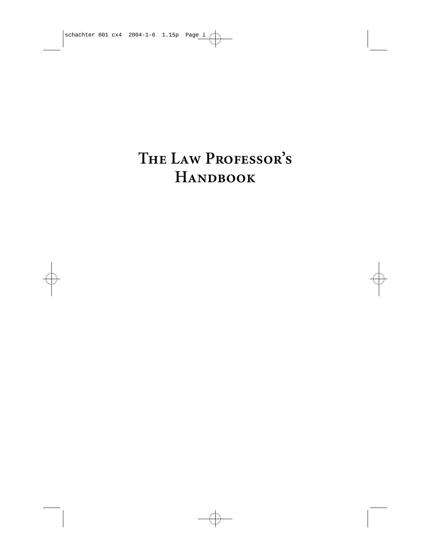## THE LAW PROFESSOR'S **Handbook**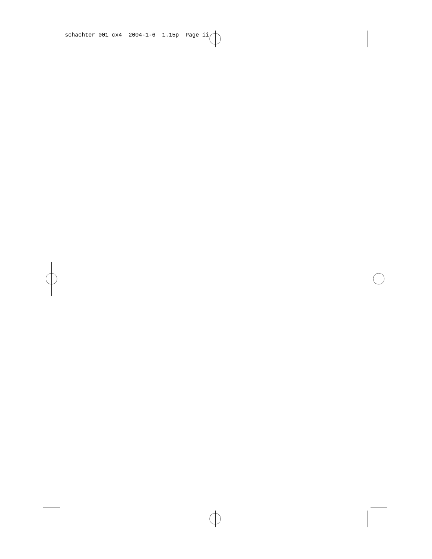$\begin{tabular}{|l|l|l|} \hline \texttt{schachter 001 cx4} & 2004-1-6 & 1.15p \texttt{ Page}_i \\ \hline \end{tabular}$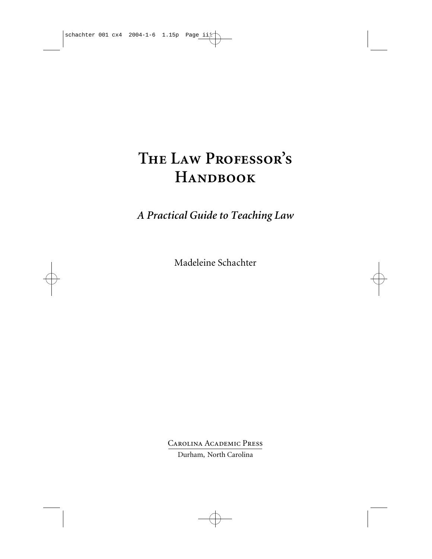## **The Law Professor's** HANDBOOK

*A Practical Guide to Teaching Law*

Madeleine Schachter

Carolina Academic Press Durham, North Carolina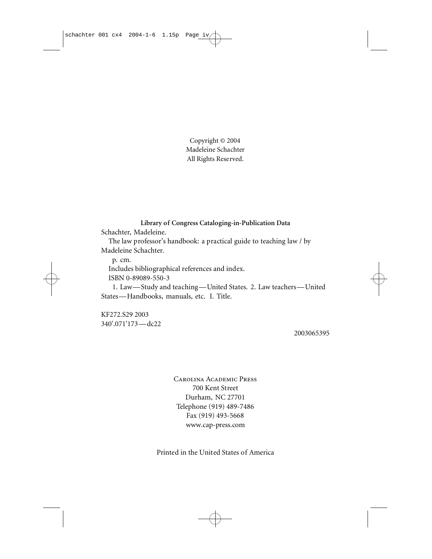schachter 001  $cx4$  2004-1-6 1.15p Page

Copyright © 2004 Madeleine Schachter All Rights Reserved.

**Library of Congress Cataloging-in-Publication Data** Schachter, Madeleine. The law professor's handbook: a practical guide to teaching law / by Madeleine Schachter. p. cm. Includes bibliographical references and index. ISBN 0-89089-550-3

1. Law—Study and teaching—United States. 2. Law teachers—United States—Handbooks, manuals, etc. I. Title.

KF272.S29 2003 340'.071'173—dc22

2003065395

Carolina Academic Press 700 Kent Street Durham, NC 27701 Telephone (919) 489-7486 Fax (919) 493-5668 www.cap-press.com

Printed in the United States of America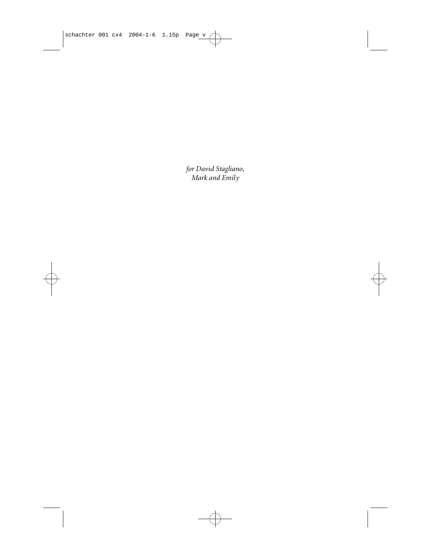for David Stagliano,<br>Mark and Emily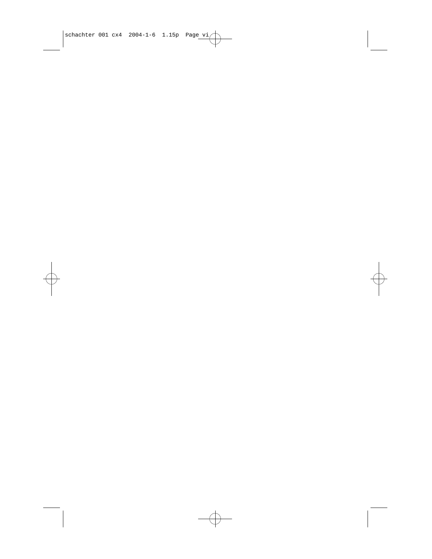$\begin{tabular}{|l|l|l|} \hline \texttt{schachter 001 cx4} & 2004-1-6 & 1.15p \texttt{ Page vi} \\\hline \end{tabular}$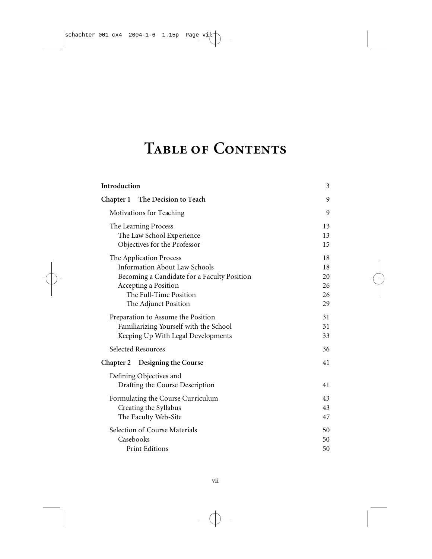# **Table of Contents**

| Introduction                                | 3  |
|---------------------------------------------|----|
| The Decision to Teach<br>Chapter 1          | 9  |
| Motivations for Teaching                    | 9  |
| The Learning Process                        | 13 |
| The Law School Experience                   | 13 |
| Objectives for the Professor                | 15 |
| The Application Process                     | 18 |
| <b>Information About Law Schools</b>        | 18 |
| Becoming a Candidate for a Faculty Position | 20 |
| Accepting a Position                        | 26 |
| The Full-Time Position                      | 26 |
| The Adjunct Position                        | 29 |
| Preparation to Assume the Position          | 31 |
| Familiarizing Yourself with the School      | 31 |
| Keeping Up With Legal Developments          | 33 |
| <b>Selected Resources</b>                   | 36 |
| Designing the Course<br><b>Chapter 2</b>    | 41 |
| Defining Objectives and                     |    |
| Drafting the Course Description             | 41 |
| Formulating the Course Curriculum           | 43 |
| Creating the Syllabus                       | 43 |
| The Faculty Web-Site                        | 47 |
| Selection of Course Materials               | 50 |
| Casebooks                                   | 50 |
| Print Editions                              | 50 |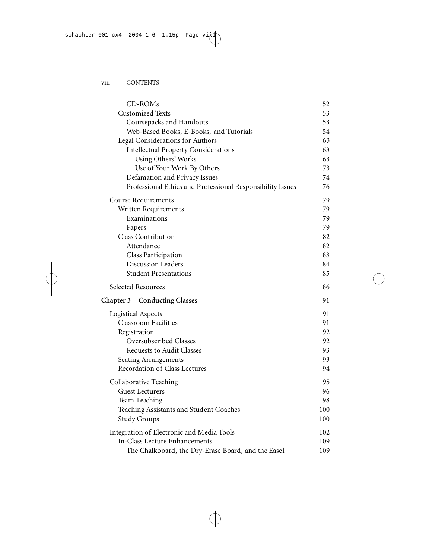#### viii CONTENTS

| CD-ROMs                                                    | 52  |
|------------------------------------------------------------|-----|
| <b>Customized Texts</b>                                    | 53  |
| Coursepacks and Handouts                                   | 53  |
| Web-Based Books, E-Books, and Tutorials                    | 54  |
| Legal Considerations for Authors                           | 63  |
| <b>Intellectual Property Considerations</b>                | 63  |
| Using Others' Works                                        | 63  |
| Use of Your Work By Others                                 | 73  |
| Defamation and Privacy Issues                              | 74  |
| Professional Ethics and Professional Responsibility Issues | 76  |
| Course Requirements                                        | 79  |
| Written Requirements                                       | 79  |
| Examinations                                               | 79  |
| Papers                                                     | 79  |
| Class Contribution                                         | 82  |
| Attendance                                                 | 82  |
| Class Participation                                        | 83  |
| Discussion Leaders                                         | 84  |
| <b>Student Presentations</b>                               | 85  |
| <b>Selected Resources</b>                                  | 86  |
| Chapter 3<br><b>Conducting Classes</b>                     | 91  |
| <b>Logistical Aspects</b>                                  | 91  |
| Classroom Facilities                                       | 91  |
| Registration                                               | 92  |
| Oversubscribed Classes                                     | 92  |
| Requests to Audit Classes                                  | 93  |
| Seating Arrangements                                       | 93  |
| Recordation of Class Lectures                              | 94  |
| Collaborative Teaching                                     | 95  |
| <b>Guest Lecturers</b>                                     | 96  |
| Team Teaching                                              | 98  |
| Teaching Assistants and Student Coaches                    | 100 |
| <b>Study Groups</b>                                        | 100 |
| Integration of Electronic and Media Tools                  | 102 |
| In-Class Lecture Enhancements                              | 109 |
| The Chalkboard, the Dry-Erase Board, and the Easel         | 109 |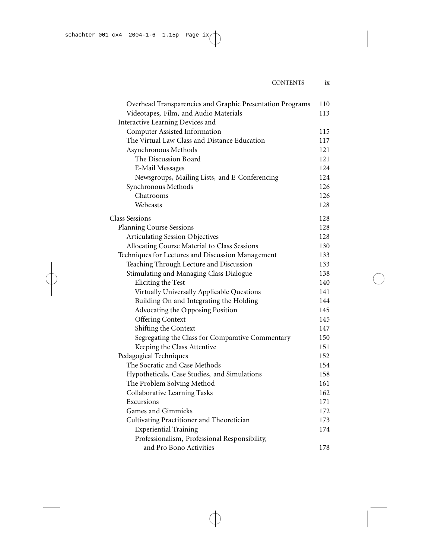schachter 001 cx4 2004-1-6 1.15p Page ix

#### CONTENTS ix

| Overhead Transparencies and Graphic Presentation Programs | 110 |
|-----------------------------------------------------------|-----|
| Videotapes, Film, and Audio Materials                     | 113 |
| Interactive Learning Devices and                          |     |
| Computer Assisted Information                             | 115 |
| The Virtual Law Class and Distance Education              | 117 |
| Asynchronous Methods                                      | 121 |
| The Discussion Board                                      | 121 |
| <b>E-Mail Messages</b>                                    | 124 |
| Newsgroups, Mailing Lists, and E-Conferencing             | 124 |
| Synchronous Methods                                       | 126 |
| Chatrooms                                                 | 126 |
| Webcasts                                                  | 128 |
| <b>Class Sessions</b>                                     | 128 |
| <b>Planning Course Sessions</b>                           | 128 |
| <b>Articulating Session Objectives</b>                    | 128 |
| Allocating Course Material to Class Sessions              | 130 |
| Techniques for Lectures and Discussion Management         | 133 |
| Teaching Through Lecture and Discussion                   | 133 |
| Stimulating and Managing Class Dialogue                   | 138 |
| Eliciting the Test                                        | 140 |
| Virtually Universally Applicable Questions                | 141 |
| Building On and Integrating the Holding                   | 144 |
| Advocating the Opposing Position                          | 145 |
| <b>Offering Context</b>                                   | 145 |
| Shifting the Context                                      | 147 |
| Segregating the Class for Comparative Commentary          | 150 |
| Keeping the Class Attentive                               | 151 |
| Pedagogical Techniques                                    | 152 |
| The Socratic and Case Methods                             | 154 |
| Hypotheticals, Case Studies, and Simulations              | 158 |
| The Problem Solving Method                                | 161 |
| Collaborative Learning Tasks                              | 162 |
| Excursions                                                | 171 |
| Games and Gimmicks                                        | 172 |
| Cultivating Practitioner and Theoretician                 | 173 |
| <b>Experiential Training</b>                              | 174 |
| Professionalism, Professional Responsibility,             |     |
| and Pro Bono Activities                                   | 178 |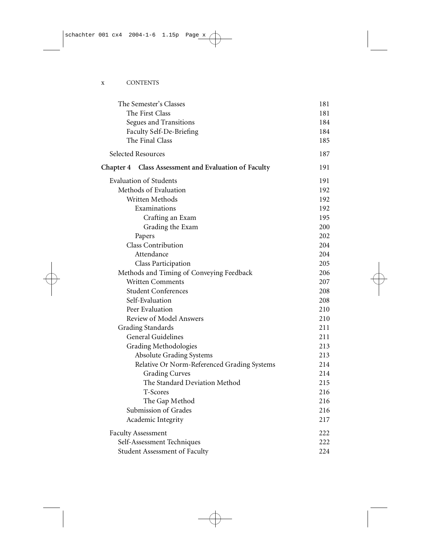#### x CONTENTS

| The Semester's Classes                                  | 181 |
|---------------------------------------------------------|-----|
| The First Class                                         | 181 |
| Segues and Transitions                                  | 184 |
| Faculty Self-De-Briefing                                | 184 |
| The Final Class                                         | 185 |
| <b>Selected Resources</b>                               | 187 |
| Chapter 4<br>Class Assessment and Evaluation of Faculty | 191 |
| <b>Evaluation of Students</b>                           | 191 |
| Methods of Evaluation                                   | 192 |
| Written Methods                                         | 192 |
| Examinations                                            | 192 |
| Crafting an Exam                                        | 195 |
| Grading the Exam                                        | 200 |
| Papers                                                  | 202 |
| Class Contribution                                      | 204 |
| Attendance                                              | 204 |
| Class Participation                                     | 205 |
| Methods and Timing of Conveying Feedback                | 206 |
| <b>Written Comments</b>                                 | 207 |
| <b>Student Conferences</b>                              | 208 |
| Self-Evaluation                                         | 208 |
| Peer Evaluation                                         | 210 |
| Review of Model Answers                                 | 210 |
| <b>Grading Standards</b>                                | 211 |
| <b>General Guidelines</b>                               | 211 |
| <b>Grading Methodologies</b>                            | 213 |
| <b>Absolute Grading Systems</b>                         | 213 |
| Relative Or Norm-Referenced Grading Systems             | 214 |
| <b>Grading Curves</b>                                   | 214 |
| The Standard Deviation Method                           | 215 |
| T-Scores                                                | 216 |
| The Gap Method                                          | 216 |
| Submission of Grades                                    | 216 |
| Academic Integrity                                      | 217 |
| <b>Faculty Assessment</b>                               | 222 |
| Self-Assessment Techniques                              | 222 |
| <b>Student Assessment of Faculty</b>                    | 224 |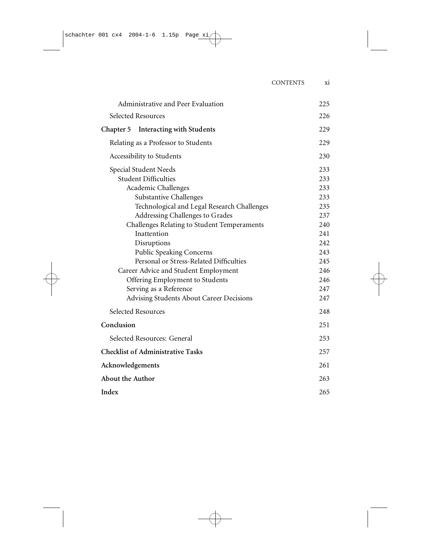| <b>CONTENTS</b> |  |
|-----------------|--|
|                 |  |

| Administrative and Peer Evaluation                                                                                                                                                                                                                                                                                                                                                                                                                                                                         | 225                                                                                                   |
|------------------------------------------------------------------------------------------------------------------------------------------------------------------------------------------------------------------------------------------------------------------------------------------------------------------------------------------------------------------------------------------------------------------------------------------------------------------------------------------------------------|-------------------------------------------------------------------------------------------------------|
| <b>Selected Resources</b>                                                                                                                                                                                                                                                                                                                                                                                                                                                                                  | 226                                                                                                   |
| Chapter 5<br><b>Interacting with Students</b>                                                                                                                                                                                                                                                                                                                                                                                                                                                              | 229                                                                                                   |
| Relating as a Professor to Students                                                                                                                                                                                                                                                                                                                                                                                                                                                                        | 229                                                                                                   |
| Accessibility to Students                                                                                                                                                                                                                                                                                                                                                                                                                                                                                  | 230                                                                                                   |
| Special Student Needs<br><b>Student Difficulties</b><br>Academic Challenges<br>Substantive Challenges<br>Technological and Legal Research Challenges<br>Addressing Challenges to Grades<br>Challenges Relating to Student Temperaments<br>Inattention<br>Disruptions<br><b>Public Speaking Concerns</b><br>Personal or Stress-Related Difficulties<br>Career Advice and Student Employment<br>Offering Employment to Students<br>Serving as a Reference<br><b>Advising Students About Career Decisions</b> | 233<br>233<br>233<br>233<br>235<br>237<br>240<br>241<br>242<br>243<br>245<br>246<br>246<br>247<br>247 |
| <b>Selected Resources</b>                                                                                                                                                                                                                                                                                                                                                                                                                                                                                  | 248                                                                                                   |
| Conclusion                                                                                                                                                                                                                                                                                                                                                                                                                                                                                                 | 251                                                                                                   |
| Selected Resources: General                                                                                                                                                                                                                                                                                                                                                                                                                                                                                | 253                                                                                                   |
| <b>Checklist of Administrative Tasks</b>                                                                                                                                                                                                                                                                                                                                                                                                                                                                   | 257                                                                                                   |
| Acknowledgements                                                                                                                                                                                                                                                                                                                                                                                                                                                                                           | 261                                                                                                   |
| About the Author                                                                                                                                                                                                                                                                                                                                                                                                                                                                                           | 263                                                                                                   |
| Index                                                                                                                                                                                                                                                                                                                                                                                                                                                                                                      | 265                                                                                                   |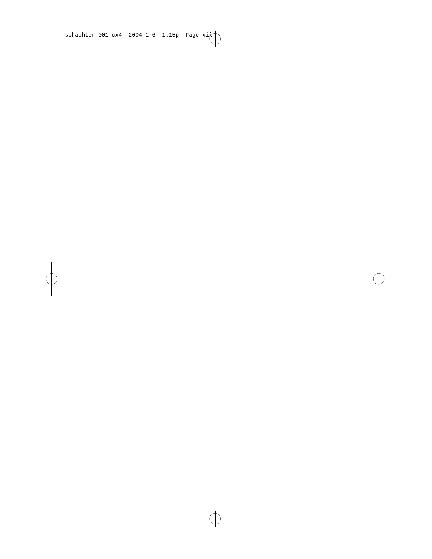$\begin{tabular}{|l|l|l|} \hline \texttt{schachter 001 cx4} & 2004-1-6 & 1.15p \texttt{ Page }xi\end{tabular}$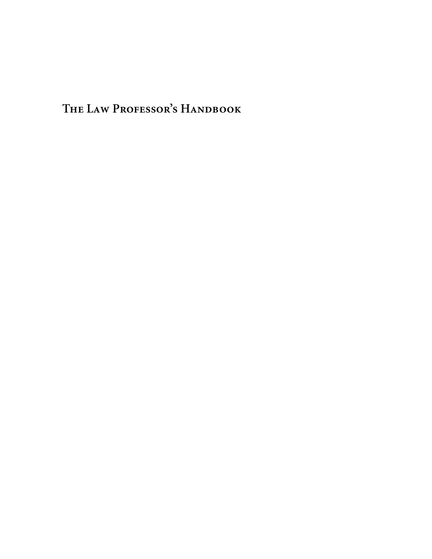**The Law Professor's Handbook**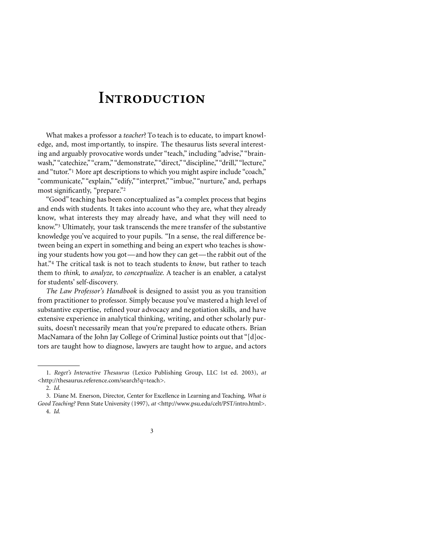### **Introduction**

What makes a professor a *teacher*? To teach is to educate, to impart knowledge, and, most importantly, to inspire. The thesaurus lists several interesting and arguably provocative words under "teach," including "advise," "brainwash," "catechize," "cram," "demonstrate," "direct," "discipline," "drill," "lecture," and "tutor."<sup>1</sup> More apt descriptions to which you might aspire include "coach," "communicate," "explain," "edify," "interpret," "imbue," "nurture," and, perhaps most significantly, "prepare." 2

"Good" teaching has been conceptualized as "a complex process that begins and ends with students. It takes into account who they are, what they already know, what interests they may already have, and what they will need to know."<sup>3</sup> Ultimately, your task transcends the mere transfer of the substantive knowledge you've acquired to your pupils. "In a sense, the real difference between being an expert in something and being an expert who teaches is showing your students how you got—and how they can get—the rabbit out of the hat."<sup>4</sup> The critical task is not to teach students to *know*, but rather to teach them to *think,* to *analyze,* to *conceptualize.* A teacher is an enabler, a catalyst for students' self-discovery.

*The Law Professor's Handbook* is designed to assist you as you transition from practitioner to professor. Simply because you've mastered a high level of substantive expertise, refined your advocacy and ne gotiation skills, and have extensive experience in analytical thinking, writing, and other scholarly pursuits, doesn't necessarily mean that you're prepared to educate others. Brian MacNamara of the John Jay College of Criminal Justice points out that "[d] octors are taught how to diagnose, lawyers are taught how to argue, and actors

<sup>1.</sup> *Roget's Interactive Thesaurus* (Lexico Publishing Group, LLC 1st ed. 2003), at <http://thesaurus.reference.com/search?q=teach>.

<sup>2.</sup> *Id.*

<sup>3.</sup> Diane M. Enerson, Director, Center for Excellence in Learning and Teaching, What is *Good Teaching? Penn State University (1997), at <http://www.psu.edu/celt/PST/intro.html>.* 4. *Id.*

<sup>3</sup>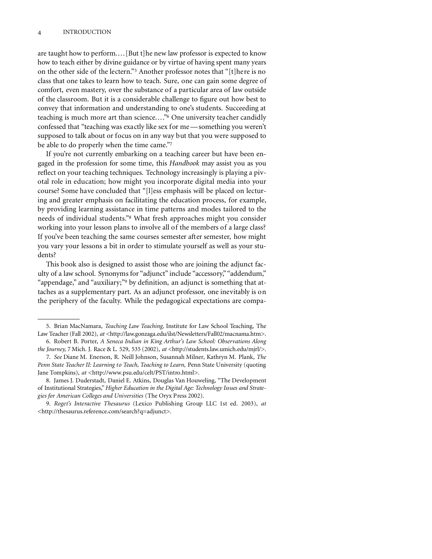are taught how to perform.... [But t] he new law professor is expected to know how to teach either by divine guidance or by virtue of having spent many years on the other side of the lectern." <sup>5</sup> Another professor notes that "[t]here is no class that one takes to learn how to teach. Sure, one can gain some degree of comfort, even mastery, over the substance of a particular area of law outside of the classroom. But it is a considerable challenge to figure out how best to convey that information and understanding to one's students. Succeeding at teaching is much more art than science...."<sup>6</sup> One university teacher candidly confessed that "teaching was exactly like sex for me—something you weren't supposed to talk about or focus on in any way but that you were supposed to be able to do properly when the time came." 7

If you're not currently embarking on a teaching career but have been engaged in the profession for some time, this *Handbook* may assist you as you reflect on your teaching techniques. Technology increasingly is playing a pivotal role in education; how might you incorporate digital media into your course? Some have concluded that "[l]ess emphasis will be placed on lecturing and greater emphasis on facilitating the education process, for example, by providing learning assistance in time patterns and modes tailored to the needs of individual students."<sup>8</sup> What fresh approaches might you consider working into your lesson plans to involve all of the members of a large class? If you've been teaching the same courses semester after semester, how might you vary your lessons a bit in order to stimulate yourself as well as your students?

This book also is designed to assist those who are joining the adjunct faculty of a law school. Synonyms for "adjunct" include "accessory," "addendum," "appendage," and "auxiliary;"<sup>9</sup> by definition, an adjunct is something that attaches as a supplementary part. As an adjunct professor, one inevitably is on the periphery of the faculty. While the pedagogical expectations are compa-

<sup>5.</sup> Brian MacNamara, *Teaching Law Teaching*, Institute for Law School Teaching, The Law Teacher (Fall 2002), *at* <http://law.gonzaga.edu/ilst/Newsletters/Fall02/macnama.htm>.

<sup>6.</sup> Robert B. Porter, *A Seneca Indian in King Arthur's Law School: Observations Along the Journey,* 7 Mich. J. Race & L. 529, 535 (2002), *at* <http://students.law.umich.edu/mjrl/>. 7. *See* Diane M. Enerson, R. Neill Johnson, Susannah Milner, Kathryn M. Plank, *The*

*Penn State Teacher II: Learning to Teach, Teaching to Learn,* Penn State University (quoting Jane Tompkins), *at* <http://www.psu.edu/celt/PST/intro.html>.

<sup>8.</sup> James J. Duderstadt, Daniel E. Atkins, Douglas Van Houweling, "The Development of Institutional Strategies," Higher Education in the Digital Age: Technology Issues and Strate*gies for American Colleges and Universities* (The Oryx Press 2002).

<sup>9.</sup> *Roget's Interactive Thesaurus* (Lexico Publishing Group LLC 1st ed. 2003), at <http://thesaurus.reference.com/search?q=adjunct>.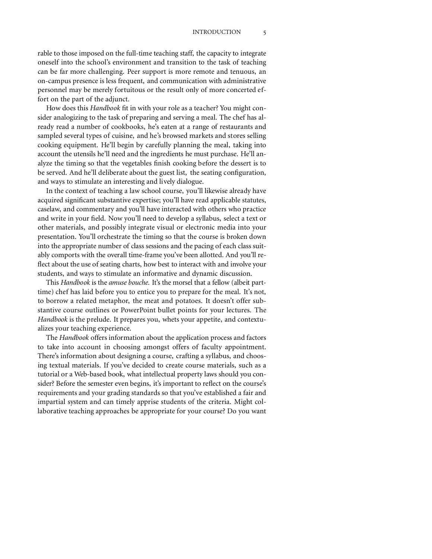rable to those imposed on the full-time teaching staff, the capacity to integrate oneself into the school's environment and transition to the task of teaching can be far more challenging. Peer support is more remote and tenuous, an on-campus presence is less frequent, and communication with administrative personnel may be merely fortuitous or the result only of more concerted effort on the part of the adjunct.

How does this *Handbook* fit in with your role as a teacher? You might consider analogizing to the task of preparing and serving a meal. The chef has already read a number of cookbooks, he's eaten at a range of restaurants and sampled several types of cuisine, and he's browsed markets and stores selling cooking equipment. He'll begin by carefully planning the meal, taking into account the utensils he'll need and the ingredients he must purchase. He'll analyze the timing so that the vegetables finish cooking before the dessert is to be served. And he'll deliberate about the guest list, the seating configuration, and ways to stimulate an interesting and lively dialogue.

In the context of teaching a law school course, you'll likewise already have acquired significant substantive expertise; you'll have read applicable statutes, caselaw, and commentary and you'll have interacted with others who practice and write in your field. Now you'll need to develop a syllabus, select a text or other materials, and possibly integrate visual or electronic media into your presentation. You'll orchestrate the timing so that the course is broken down into the appropriate number of class sessions and the pacing of each class suitably comports with the overall time-frame you've been allotted. And you'll reflect about the use of seating charts, how best to interact with and involve your students, and ways to stimulate an informative and dynamic discussion.

This *Handbook* is the *amuse bouche*. It's the morsel that a fellow (albeit parttime) chef has laid before you to entice you to prepare for the meal. It's not, to borrow a related metaphor, the meat and potatoes. It doesn't offer substantive course outlines or PowerPoint bullet points for your lectures. The *Handbook* is the prelude. It prepares you, whets your appetite, and contextualizes your teaching experience.

The *Handbook* offers information about the application process and factors to take into account in choosing amongst offers of faculty appointment. There's information about designing a course, crafting a syllabus, and choosing textual materials. If you've decided to create course materials, such as a tutorial or a Web-based book, what intellectual property laws should you consider? Before the semester even begins, it's important to reflect on the course's requirements and your grading standards so that you've established a fair and impartial system and can timely apprise students of the criteria. Might collaborative teaching approaches be appropriate for your course? Do you want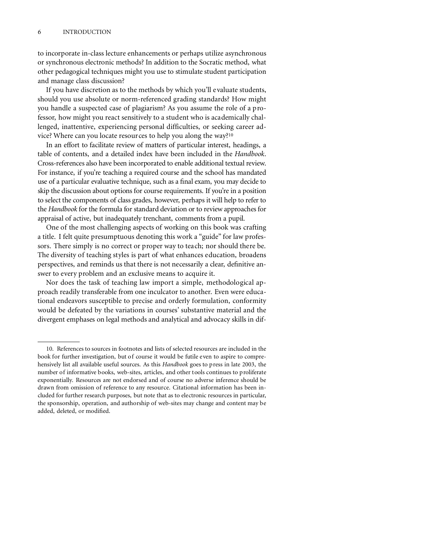to incorporate in-class lecture enhancements or perhaps utilize asynchronous or synchronous electronic methods? In addition to the Socratic method, what other pedagogical techniques might you use to stimulate student participation and manage class discussion?

If you have discretion as to the methods by which you'll evaluate students, should you use absolute or norm-referenced grading standards? How might you handle a suspected case of plagiarism? As you assume the role of a professor, how might you react sensitively to a student who is academically challenged, inattentive, experiencing personal difficulties, or seeking career advice? Where can you locate resources to help you along the way?<sup>10</sup>

In an effort to facilitate review of matters of particular interest, headings, a table of contents, and a detailed index have been included in the *Handbook*. Cross-references also have been incorporated to enable additional textual review. For instance, if you're teaching a required course and the school has mandated use of a particular evaluative technique, such as a final exam, you may decide to skip the discussion about options for course requirements. If you're in a position to select the components of class grades, however, perhaps it will help to refer to the *Handbook* for the formula for standard deviation or to review approaches for appraisal of active, but inadequately trenchant, comments from a pupil.

One of the most challenging aspects of working on this book was crafting a title. I felt quite presumptuous denoting this work a "guide" for law professors. There simply is no correct or proper way to teach; nor should there be. The diversity of teaching styles is part of what enhances education, broadens perspectives, and reminds us that there is not necessarily a clear, definitive answer to every problem and an exclusive means to acquire it.

Nor does the task of teaching law import a simple, methodological approach readily transferable from one inculcator to another. Even were educational endeavors susceptible to precise and orderly formulation, conformity would be defeated by the variations in courses' substantive material and the divergent emphases on legal methods and analytical and advocacy skills in dif-

<sup>10.</sup> References to sources in footnotes and lists of selected resources are included in the book for further investigation, but of course it would be futile even to aspire to comprehensively list all available useful sources. As this *Handbook* goes to press in late 2003, the number of informative books, web-sites, articles, and other tools continues to proliferate exponentially. Resources are not endorsed and of course no adverse inference should be drawn from omission of reference to any resource. Citational information has been included for further research purposes, but note that as to electronic resources in particular, the sponsorship, operation, and authorship of web-sites may change and content may be added, deleted, or modified.